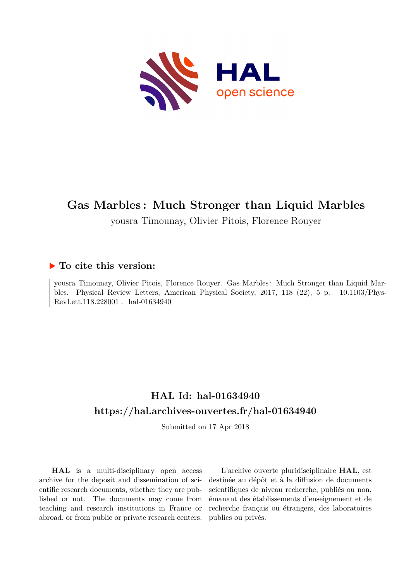

## **Gas Marbles : Much Stronger than Liquid Marbles**

yousra Timounay, Olivier Pitois, Florence Rouyer

## **To cite this version:**

yousra Timounay, Olivier Pitois, Florence Rouyer. Gas Marbles : Much Stronger than Liquid Marbles. Physical Review Letters, American Physical Society, 2017, 118 (22), 5 p. 10.1103/Phys- $RevLett.118.228001$ . hal-01634940

## **HAL Id: hal-01634940 <https://hal.archives-ouvertes.fr/hal-01634940>**

Submitted on 17 Apr 2018

**HAL** is a multi-disciplinary open access archive for the deposit and dissemination of scientific research documents, whether they are published or not. The documents may come from teaching and research institutions in France or abroad, or from public or private research centers.

L'archive ouverte pluridisciplinaire **HAL**, est destinée au dépôt et à la diffusion de documents scientifiques de niveau recherche, publiés ou non, émanant des établissements d'enseignement et de recherche français ou étrangers, des laboratoires publics ou privés.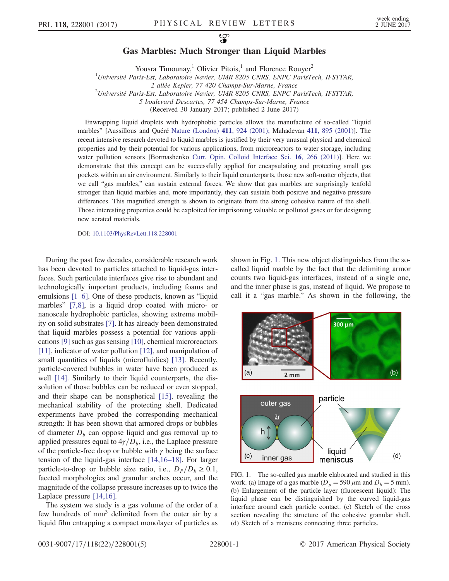## Gas Marbles: Much Stronger than Liquid Marbles

Yousra Timounay,<sup>1</sup> Olivier Pitois,<sup>1</sup> and Florence Rouyer<sup>2</sup>

<sup>1</sup>Université Paris-Est, Laboratoire Navier, UMR 8205 CNRS, ENPC ParisTech, IFSTTAR,

2 allée Kepler, 77 420 Champs-Sur-Marne, France

2 Université Paris-Est, Laboratoire Navier, UMR 8205 CNRS, ENPC ParisTech, IFSTTAR,

5 boulevard Descartes, 77 454 Champs-Sur-Marne, France

(Received 30 January 2017; published 2 June 2017)

Enwrapping liquid droplets with hydrophobic particles allows the manufacture of so-called "liquid marbles" [Aussillous and Quéré [Nature \(London\)](https://doi.org/10.1038/35082026) 411, 924 (2001); Mahadevan 411[, 895 \(2001\)](https://doi.org/10.1038/35082164)]. The recent intensive research devoted to liquid marbles is justified by their very unusual physical and chemical properties and by their potential for various applications, from microreactors to water storage, including water pollution sensors [Bormashenko [Curr. Opin. Colloid Interface Sci.](https://doi.org/10.1016/j.cocis.2010.12.002) 16, 266 (2011)]. Here we demonstrate that this concept can be successfully applied for encapsulating and protecting small gas pockets within an air environment. Similarly to their liquid counterparts, those new soft-matter objects, that we call "gas marbles," can sustain external forces. We show that gas marbles are surprisingly tenfold stronger than liquid marbles and, more importantly, they can sustain both positive and negative pressure differences. This magnified strength is shown to originate from the strong cohesive nature of the shell. Those interesting properties could be exploited for imprisoning valuable or polluted gases or for designing new aerated materials.

DOI: [10.1103/PhysRevLett.118.228001](https://doi.org/10.1103/PhysRevLett.118.228001)

During the past few decades, considerable research work has been devoted to particles attached to liquid-gas interfaces. Such particulate interfaces give rise to abundant and technologically important products, including foams and emulsions [1–6]. One of these products, known as "liquid marbles" [7,8], is a liquid drop coated with micro- or nanoscale hydrophobic particles, showing extreme mobility on solid substrates [7]. It has already been demonstrated that liquid marbles possess a potential for various applications [9] such as gas sensing [10], chemical microreactors [11], indicator of water pollution [12], and manipulation of small quantities of liquids (microfluidics) [13]. Recently, particle-covered bubbles in water have been produced as well [14]. Similarly to their liquid counterparts, the dissolution of those bubbles can be reduced or even stopped, and their shape can be nonspherical [15], revealing the mechanical stability of the protecting shell. Dedicated experiments have probed the corresponding mechanical strength: It has been shown that armored drops or bubbles of diameter  $D<sub>b</sub>$  can oppose liquid and gas removal up to applied pressures equal to  $4\gamma/D_b$ , i.e., the Laplace pressure of the particle-free drop or bubble with  $\gamma$  being the surface tension of the liquid-gas interface [14,16–18]. For larger particle-to-drop or bubble size ratio, i.e.,  $D_P/D_b \ge 0.1$ , faceted morphologies and granular arches occur, and the magnitude of the collapse pressure increases up to twice the Laplace pressure [14,16].

The system we study is a gas volume of the order of a few hundreds of mm<sup>3</sup> delimited from the outer air by a liquid film entrapping a compact monolayer of particles as shown in Fig. 1. This new object distinguishes from the socalled liquid marble by the fact that the delimiting armor counts two liquid-gas interfaces, instead of a single one, and the inner phase is gas, instead of liquid. We propose to call it a "gas marble." As shown in the following, the



FIG. 1. The so-called gas marble elaborated and studied in this work. (a) Image of a gas marble  $(D_p = 590 \,\mu \text{m}$  and  $D_b = 5 \text{ mm}$ ). (b) Enlargement of the particle layer (fluorescent liquid): The liquid phase can be distinguished by the curved liquid-gas interface around each particle contact. (c) Sketch of the cross section revealing the structure of the cohesive granular shell. (d) Sketch of a meniscus connecting three particles.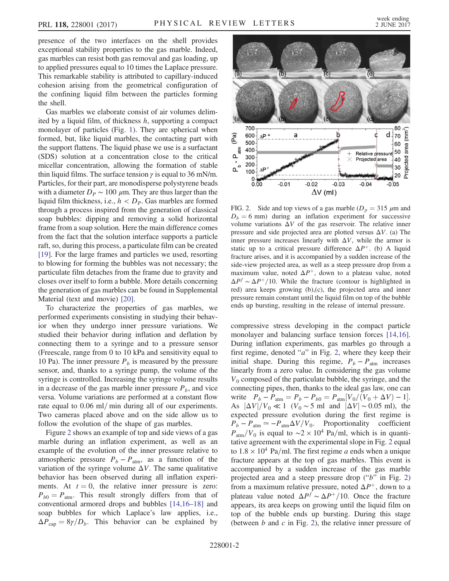presence of the two interfaces on the shell provides exceptional stability properties to the gas marble. Indeed, gas marbles can resist both gas removal and gas loading, up to applied pressures equal to 10 times the Laplace pressure. This remarkable stability is attributed to capillary-induced cohesion arising from the geometrical configuration of the confining liquid film between the particles forming the shell.

Gas marbles we elaborate consist of air volumes delimited by a liquid film, of thickness  $h$ , supporting a compact monolayer of particles (Fig. 1). They are spherical when formed, but, like liquid marbles, the contacting part with the support flattens. The liquid phase we use is a surfactant (SDS) solution at a concentration close to the critical micellar concentration, allowing the formation of stable thin liquid films. The surface tension  $\gamma$  is equal to 36 mN/m. Particles, for their part, are monodisperse polystyrene beads with a diameter  $D_P \sim 100 \mu$ m. They are thus larger than the liquid film thickness, i.e.,  $h < D<sub>p</sub>$ . Gas marbles are formed through a process inspired from the generation of classical soap bubbles: dipping and removing a solid horizontal frame from a soap solution. Here the main difference comes from the fact that the solution interface supports a particle raft, so, during this process, a particulate film can be created [19]. For the large frames and particles we used, resorting to blowing for forming the bubbles was not necessary; the particulate film detaches from the frame due to gravity and closes over itself to form a bubble. More details concerning the generation of gas marbles can be found in Supplemental Material (text and movie) [20].

To characterize the properties of gas marbles, we performed experiments consisting in studying their behavior when they undergo inner pressure variations. We studied their behavior during inflation and deflation by connecting them to a syringe and to a pressure sensor (Freescale, range from 0 to 10 kPa and sensitivity equal to 10 Pa). The inner pressure  $P_b$  is measured by the pressure sensor, and, thanks to a syringe pump, the volume of the syringe is controlled. Increasing the syringe volume results in a decrease of the gas marble inner pressure  $P_b$ , and vice versa. Volume variations are performed at a constant flow rate equal to  $0.06$  ml/min during all of our experiments. Two cameras placed above and on the side allow us to follow the evolution of the shape of gas marbles.

Figure 2 shows an example of top and side views of a gas marble during an inflation experiment, as well as an example of the evolution of the inner pressure relative to atmospheric pressure  $P_b - P_{\text{atm}}$ , as a function of the variation of the syringe volume  $\Delta V$ . The same qualitative behavior has been observed during all inflation experiments. At  $t = 0$ , the relative inner pressure is zero:  $P_{b0} = P_{\text{atm}}$ . This result strongly differs from that of conventional armored drops and bubbles [14,16–18] and soap bubbles for which Laplace's law applies, i.e.,  $\Delta P_{\text{cap}} = 8\gamma/D_b$ . This behavior can be explained by



FIG. 2. Side and top views of a gas marble ( $D_p = 315 \ \mu \text{m}$  and  $D_b = 6$  mm) during an inflation experiment for successive volume variations  $\Delta V$  of the gas reservoir. The relative inner pressure and side projected area are plotted versus  $\Delta V$ . (a) The inner pressure increases linearly with  $\Delta V$ , while the armor is static up to a critical pressure difference  $\Delta P^+$ . (b) A liquid fracture arises, and it is accompanied by a sudden increase of the side-view projected area, as well as a steep pressure drop from a maximum value, noted  $\Delta P^+$ , down to a plateau value, noted  $\Delta P^f \sim \Delta P^+/10$ . While the fracture (contour is highlighted in red) area keeps growing (b),(c), the projected area and inner pressure remain constant until the liquid film on top of the bubble ends up bursting, resulting in the release of internal pressure.

compressive stress developing in the compact particle monolayer and balancing surface tension forces [14,16]. During inflation experiments, gas marbles go through a first regime, denoted " $a$ " in Fig. 2, where they keep their initial shape. During this regime,  $P_b - P_{\text{atm}}$  increases linearly from a zero value. In considering the gas volume  $V_0$  composed of the particulate bubble, the syringe, and the connecting pipes, then, thanks to the ideal gas law, one can write  $P_b - P_{\text{atm}} = P_b - P_{b0} = P_{\text{atm}} [V_0/(V_0 + \Delta V) - 1].$ As  $|\Delta V|/V_0 \ll 1$  (V<sub>0</sub> ~ 5 ml and  $|\Delta V| \sim 0.05$  ml), the expected pressure evolution during the first regime is  $P_b - P_{\text{atm}} \simeq -P_{\text{atm}}\Delta V/V_0$ . Proportionality coefficient  $P_{\text{atm}}/V_0$  is equal to ~2 × 10<sup>4</sup> Pa/ml, which is in quantitative agreement with the experimental slope in Fig. 2 equal to  $1.8 \times 10^4$  Pa/ml. The first regime a ends when a unique fracture appears at the top of gas marbles. This event is accompanied by a sudden increase of the gas marble projected area and a steep pressure drop ("b" in Fig. 2) from a maximum relative pressure, noted  $\Delta P^+$ , down to a plateau value noted  $\Delta P^f \sim \Delta P^+/10$ . Once the fracture appears, its area keeps on growing until the liquid film on top of the bubble ends up bursting. During this stage (between  $b$  and  $c$  in Fig. 2), the relative inner pressure of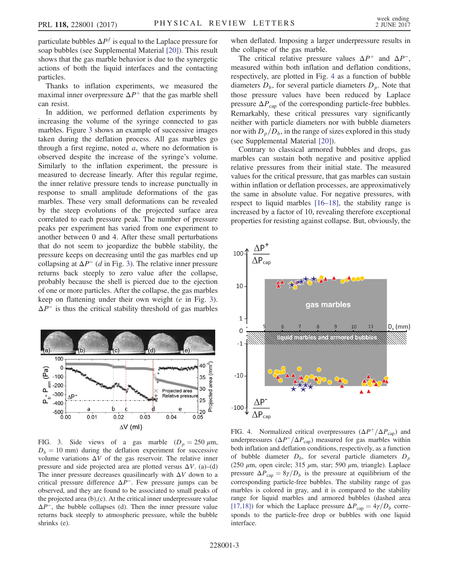particulate bubbles  $\Delta P^f$  is equal to the Laplace pressure for soap bubbles (see Supplemental Material [20]). This result shows that the gas marble behavior is due to the synergetic actions of both the liquid interfaces and the contacting particles.

Thanks to inflation experiments, we measured the maximal inner overpressure  $\Delta P^+$  that the gas marble shell can resist.

In addition, we performed deflation experiments by increasing the volume of the syringe connected to gas marbles. Figure 3 shows an example of successive images taken during the deflation process. All gas marbles go through a first regime, noted  $a$ , where no deformation is observed despite the increase of the syringe's volume. Similarly to the inflation experiment, the pressure is measured to decrease linearly. After this regular regime, the inner relative pressure tends to increase punctually in response to small amplitude deformations of the gas marbles. These very small deformations can be revealed by the steep evolutions of the projected surface area correlated to each pressure peak. The number of pressure peaks per experiment has varied from one experiment to another between 0 and 4. After these small perturbations that do not seem to jeopardize the bubble stability, the pressure keeps on decreasing until the gas marbles end up collapsing at  $\Delta P^-$  (d in Fig. 3). The relative inner pressure returns back steeply to zero value after the collapse, probably because the shell is pierced due to the ejection of one or more particles. After the collapse, the gas marbles keep on flattening under their own weight (e in Fig. 3).  $\Delta P^-$  is thus the critical stability threshold of gas marbles



FIG. 3. Side views of a gas marble  $(D_p = 250 \mu \text{m}$ ,  $D_b = 10$  mm) during the deflation experiment for successive volume variations  $\Delta V$  of the gas reservoir. The relative inner pressure and side projected area are plotted versus  $\Delta V$ . (a)–(d) The inner pressure decreases quasilinearly with  $\Delta V$  down to a critical pressure difference  $\Delta P^-$ . Few pressure jumps can be observed, and they are found to be associated to small peaks of the projected area (b),(c). At the critical inner underpressure value  $\Delta P^-$ , the bubble collapses (d). Then the inner pressure value returns back steeply to atmospheric pressure, while the bubble shrinks (e).

when deflated. Imposing a larger underpressure results in the collapse of the gas marble.

The critical relative pressure values  $\Delta P^+$  and  $\Delta P^-$ , measured within both inflation and deflation conditions, respectively, are plotted in Fig. 4 as a function of bubble diameters  $D<sub>b</sub>$ , for several particle diameters  $D<sub>p</sub>$ . Note that those pressure values have been reduced by Laplace pressure  $\Delta P_{\text{cap}}$  of the corresponding particle-free bubbles. Remarkably, these critical pressures vary significantly neither with particle diameters nor with bubble diameters nor with  $D_p/D_b$ , in the range of sizes explored in this study (see Supplemental Material [20]).

Contrary to classical armored bubbles and drops, gas marbles can sustain both negative and positive applied relative pressures from their initial state. The measured values for the critical pressure, that gas marbles can sustain within inflation or deflation processes, are approximatively the same in absolute value. For negative pressures, with respect to liquid marbles [16–18], the stability range is increased by a factor of 10, revealing therefore exceptional properties for resisting against collapse. But, obviously, the



FIG. 4. Normalized critical overpressures  $(\Delta P^+/\Delta P_{\text{cap}})$  and underpressures ( $\Delta P^{-}/\Delta P_{\text{cap}}$ ) measured for gas marbles within both inflation and deflation conditions, respectively, as a function of bubble diameter  $D<sub>b</sub>$ , for several particle diameters  $D<sub>p</sub>$ (250  $\mu$ m, open circle; 315  $\mu$ m, star; 590  $\mu$ m, triangle). Laplace pressure  $\Delta P_{\rm cap} = 8\gamma/D_b$  is the pressure at equilibrium of the corresponding particle-free bubbles. The stability range of gas marbles is colored in gray, and it is compared to the stability range for liquid marbles and armored bubbles (dashed area [17,18]) for which the Laplace pressure  $\Delta P_{\text{cap}} = 4\gamma/D_b$  corresponds to the particle-free drop or bubbles with one liquid interface.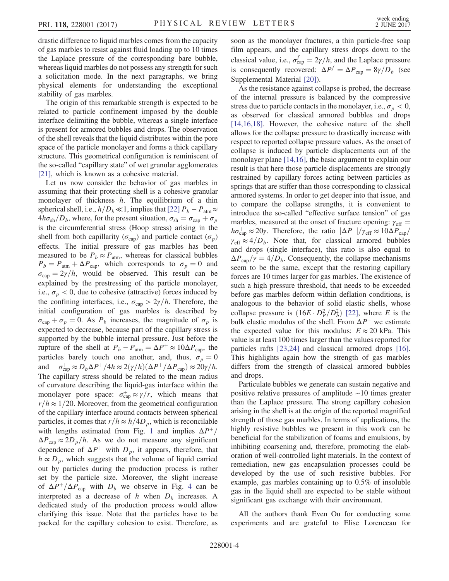drastic difference to liquid marbles comes from the capacity of gas marbles to resist against fluid loading up to 10 times the Laplace pressure of the corresponding bare bubble, whereas liquid marbles do not possess any strength for such a solicitation mode. In the next paragraphs, we bring physical elements for understanding the exceptional stability of gas marbles.

The origin of this remarkable strength is expected to be related to particle confinement imposed by the double interface delimiting the bubble, whereas a single interface is present for armored bubbles and drops. The observation of the shell reveals that the liquid distributes within the pore space of the particle monolayer and forms a thick capillary structure. This geometrical configuration is reminiscent of the so-called "capillary state" of wet granular agglomerates [21], which is known as a cohesive material.

Let us now consider the behavior of gas marbles in assuming that their protecting shell is a cohesive granular monolayer of thickness  $h$ . The equilibrium of a thin spherical shell, i.e.,  $h/D_b \ll 1$ , implies that [22]  $P_b - P_{atm} \approx$  $4h\sigma_{sh}/D_b$ , where, for the present situation,  $\sigma_{sh} = \sigma_{cap} + \sigma_p$ is the circumferential stress (Hoop stress) arising in the shell from both capillarity ( $\sigma_{\text{cap}}$ ) and particle contact ( $\sigma_p$ ) effects. The initial pressure of gas marbles has been measured to be  $P_b \approx P_{\text{atm}}$ , whereas for classical bubbles  $P_b = P_{\text{atm}} + \Delta P_{\text{cap}}$ , which corresponds to  $\sigma_p = 0$  and  $\sigma_{\text{cap}}=2\gamma/h$ , would be observed. This result can be explained by the prestressing of the particle monolayer, i.e.,  $\sigma_p < 0$ , due to cohesive (attractive) forces induced by the confining interfaces, i.e.,  $\sigma_{\text{cap}} > 2\gamma/h$ . Therefore, the initial configuration of gas marbles is described by  $\sigma_{cap} + \sigma_p = 0$ . As  $P_b$  increases, the magnitude of  $\sigma_p$  is expected to decrease, because part of the capillary stress is supported by the bubble internal pressure. Just before the rupture of the shell at  $P_b - P_{\text{atm}} = \Delta P^+ \approx 10 \Delta P_{\text{cap}}$ , the particles barely touch one another, and, thus,  $\sigma_p = 0$ and  $\sigma_{\text{cap}}^+ \approx D_b \Delta P^+ / 4h \approx 2(\gamma/h)(\Delta P^+ / \Delta P_{\text{cap}}) \approx 20\gamma/h$ . The capillary stress should be related to the mean radius of curvature describing the liquid-gas interface within the monolayer pore space:  $\sigma_{\text{cap}}^+ \approx \gamma/r$ , which means that  $r/h \approx 1/20$ . Moreover, from the geometrical configuration of the capillary interface around contacts between spherical particles, it comes that  $r/h \approx h/4D_p$ , which is reconcilable with lengths estimated from Fig. 1 and implies  $\Delta P^+$ /  $\Delta P_{\rm cap} \approx 2D_p/h$ . As we do not measure any significant dependence of  $\Delta P^+$  with  $D_p$ , it appears, therefore, that  $h \propto D_p$ , which suggests that the volume of liquid carried out by particles during the production process is rather set by the particle size. Moreover, the slight increase of  $\Delta P^{\dagger}/\Delta P_{\text{cap}}$  with  $D_b$  we observe in Fig. 4 can be interpreted as a decrease of h when  $D_b$  increases. A dedicated study of the production process would allow clarifying this issue. Note that the particles have to be packed for the capillary cohesion to exist. Therefore, as soon as the monolayer fractures, a thin particle-free soap film appears, and the capillary stress drops down to the classical value, i.e.,  $\sigma_{\text{cap}}^f = 2\gamma/h$ , and the Laplace pressure is consequently recovered:  $\Delta P^f = \Delta P_{\text{cap}} = 8\gamma/D_b$  (see Supplemental Material [20]).

As the resistance against collapse is probed, the decrease of the internal pressure is balanced by the compressive stress due to particle contacts in the monolayer, i.e.,  $\sigma_p < 0$ , as observed for classical armored bubbles and drops [14,16,18]. However, the cohesive nature of the shell allows for the collapse pressure to drastically increase with respect to reported collapse pressure values. As the onset of collapse is induced by particle displacements out of the monolayer plane [14,16], the basic argument to explain our result is that here those particle displacements are strongly restrained by capillary forces acting between particles as springs that are stiffer than those corresponding to classical armored systems. In order to get deeper into that issue, and to compare the collapse strengths, it is convenient to introduce the so-called "effective surface tension" of gas marbles, measured at the onset of fracture opening:  $\gamma_{\text{eff}} =$  $h\sigma_{\rm cap}^+ \approx 20\gamma$ . Therefore, the ratio  $|\Delta P^-|/\gamma_{\rm eff} \approx 10\Delta P_{\rm cap}/$  $\gamma_{\text{eff}} \approx 4/D_b$ . Note that, for classical armored bubbles and drops (single interface), this ratio is also equal to  $\Delta P_{\rm can}/\gamma = 4/D_b$ . Consequently, the collapse mechanisms seem to be the same, except that the restoring capillary forces are 10 times larger for gas marbles. The existence of such a high pressure threshold, that needs to be exceeded before gas marbles deform within deflation conditions, is analogous to the behavior of solid elastic shells, whose collapse pressure is  $(16E \cdot D_P^2/D_b^2)$  [22], where E is the bulk elastic modulus of the shell. From  $\Delta P^-$  we estimate the expected value for this modulus:  $E \approx 20$  kPa. This value is at least 100 times larger than the values reported for particles rafts [23,24] and classical armored drops [16]. This highlights again how the strength of gas marbles differs from the strength of classical armored bubbles and drops.

Particulate bubbles we generate can sustain negative and positive relative pressures of amplitude ∼10 times greater than the Laplace pressure. The strong capillary cohesion arising in the shell is at the origin of the reported magnified strength of those gas marbles. In terms of applications, the highly resistive bubbles we present in this work can be beneficial for the stabilization of foams and emulsions, by inhibiting coarsening and, therefore, promoting the elaboration of well-controlled light materials. In the context of remediation, new gas encapsulation processes could be developed by the use of such resistive bubbles. For example, gas marbles containing up to 0.5% of insoluble gas in the liquid shell are expected to be stable without significant gas exchange with their environment.

All the authors thank Even Ou for conducting some experiments and are grateful to Elise Lorenceau for